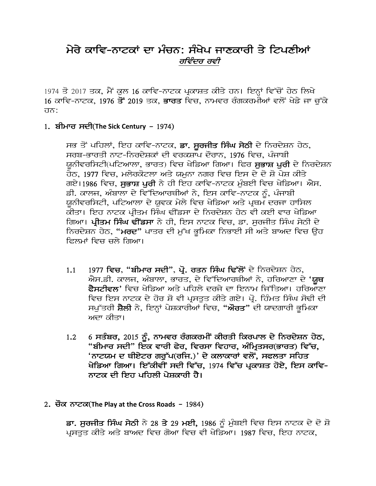### ਮੇਰੇ ਕਾਵਿ-ਨਾਟਕਾਂ ਦਾ ਮੰਚਨ: ਸੰਖੇਪ ਜਾਣਕਾਰੀ ਤੇ ਟਿਪਣੀਆਂ ਰਵਿੰਦਰ ਰਵੀ

1974 ਤੋ 2017 ਤਕ, ਮੈਂ ਕੁਲ 16 ਕਾਵਿ-ਨਾਟਕ ਪ੍ਰਕਾਸ਼ਤ ਕੀਤੇ ਹਨ। ਇਨ੍ਹਾਂ ਵਿੱਚੋਂ ਹੇਠ ਲਿਖੇ <u>16 ਕਾਵਿ-ਨਾਟਕ, 1976 ਤੋਂ 2019 ਤਕ, **ਭਾਰਤ** ਵਿਚ,</u> ਨਾਮਵਰ ਰੰਗਕਰਮੀਆਂ ਵਲੋਂ ਖੇਡੇ ਜਾ ਚੁੱਕੇ ਹਨ:

#### 1. ਬੀਮਾਰ ਸਦੀ(The Sick Century – 1974)

ਸਭ ਤੋਂ ਪਹਿਲਾਂ, ਇਹ ਕਾਵਿ-ਨਾਟਕ, **ਡਾ. ਸੁਰਜੀਤ ਸਿੰਘ ਸੇਠੀ** ਦੇ ਨਿਰਦੇਸ਼ਨ ਹੇਠ, ਸਰਬ-ਭਾਰਤੀ ਨਾਟ-ਨਿਰਦੇਸ਼ਕਾਂ ਦੀ ਵਰਕਸ਼ਾਪ ਦੌਰਾਨ, 1976 ਵਿਚ, ਪੰਜਾਬੀ ਯਨੀਵਰਸਿਟੀ(ਪਟਿਆਲਾ, ਭਾਰਤ) ਵਿਚ ਖੇਡਿਆ ਗਿਆ। ਫਿਰ **ਸਭਾਸ਼ ਪਰੀ** ਦੇ ਨਿਰਦੇਸ਼ਨ <u>ਹੇਠ, 1977 ਵਿਚ, ਮਲੇਰਕੋਟਲਾ ਅਤੇ ਯਮਨਾ ਨਗਰ ਵਿਚ ਇਸ ਦੇ ਦੋ ਸ਼ੋ ਪੇਸ਼ ਕੀਤੇ</u> ਗਏ।1986 ਵਿਚ, ਸਭਾਸ਼ ਪਰੀ ਨੇ ਹੀ ਇਹ ਕਾਵਿ-ਨਾਟਕ ਮੰਬਈ ਵਿਚ ਖੇਡਿਆ। ਐਸ. ਡੀ. ਕਾਲਜ, ਅੰਬਾਲਾ ਦੇ ਵਿੱਦਿਆਰਥੀਆਂ ਨੇ, ਇਸ ਕਾਵਿ-ਨਾਟਕ ਨੂੰ, ਪੰਜਾਬੀ ਯਨੀਵਰਸਿਟੀ, ਪਟਿਆਲਾ ਦੇ ਯਵਕ ਮੇਲੇ ਵਿਚ ਖੇਡਿਆ ਅਤੇ ਪਥਮ ਦਰਜਾ ਹਾਸਿਲ ਕੀਤਾ। ਇਹ ਨਾਟਕ ਪੀਤਮ ਸਿੰਘ ਢੀਂਡਸਾ ਦੇ ਨਿਰਦੇਸ਼ਨ ਹੇਠ ਵੀ ਕਈ ਵਾਰ ਖੇਡਿਆ ਗਿਆ। **ਪ੍ਰੀਤਮ ਸਿੰਘ ਢੀਂਡਸਾ** ਨੇ ਹੀ, ਇਸ ਨਾਟਕ ਵਿਚ, ਡਾ. ਸਰਜੀਤ ਸਿੰਘ ਸੇਠੀ ਦੇ ਨਿਰਦੇਸ਼ਨ ਹੇਠ, "**ਮਰਦ**" ਪਾਤਰ ਦੀ ਮੁੱਖ ਭੂਮਿਕਾ ਨਿਭਾਈ ਸੀ ਅਤੇ ਬਾਅਦ ਵਿਚ ਉਹ ਫਿਲਮਾਂ ਵਿਚ ਚਲੇ ਗਿਆ।

- $1.1$  1977 ਵਿਚ, "ਬੀਮਾਰ ਸਦੀ", ਪ੍ਰੋ. ਰਤਨ ਸਿੰਘ ਢਿੱਲੋਂ ਦੇ ਨਿਰਦੇਸ਼ਨ ਹੇਠ, ਐਸ.ਡੀ. ਕਾਲਜ, ਅੰਬਾਲਾ, ਭਾਰਤ, ਦੇ ਵਿੱਦਿਆਰਥੀਆਂ ਨੇ, ਹਰਿਆਣਾ ਦੇ '**ਯ਼ਥ** <mark>ਫੈਸਟੀਵਲ'</mark> ਵਿਚ ਖੇਡਿਆ ਅਤੇ ਪਹਿਲੇ ਦਰਜੇ ਦਾ ਇਨਾਮ ਜਿੱਤਿਆ। ਹਰਿਆਣਾ ਵਿਚ ਇਸ ਨਾਟਕ ਦੇ ਹੋਰ ਸ਼ੋ ਵੀ ਪਸਤਤ ਕੀਤੇ ਗਏ। ਪੋ. ਹਿੰਮਤ ਸਿੰਘ ਸੋਢੀ ਦੀ ਸਪੱਤਰੀ ਸ਼ੈਲੀ ਨੇ, ਇਨ੍ਹਾਂ ਪੇਸ਼ਕਾਰੀਆਂ ਵਿਚ, "ਔਰਤ" ਦੀ ਯਾਦਗਾਰੀ ਭੂਮਿਕਾ ਅਦਾ ਕੀਤਾ।
- $1.2$  6 ਸਤੰਬਰ, 2015 ਨੂੰ, ਨਾਮਵਰ ਰੰਗਕਰਮੀਂ ਕੀਰਤੀ ਕਿਰਪਾਲ ਦੇ ਨਿਰਦੇਸ਼ਨ ਹੇਠ, "ਬੀਮਾਰ ਸਦੀ" ਇੱਕ ਵਾਰੀ ਫੇਰ, ਵਿਰਸਾ ਵਿਹਾਰ, ਅੰਮ੍ਰਿਤਸਰ(ਭਾਰਤ) ਵਿੱਚ, 'ਨਾਟਯਮ ਦ ਥੀਏਟਰ ਗਰੁੱਪ(ਰਜਿ.)' ਦੇ ਕਲਾਕਾਰਾਂ ਵਲੋਂ, ਸਫਲਤਾ ਸਹਿਤ ਖੇਡਿਆ ਗਿਆ। ਇੱਕੀਵੀਂ ਸਦੀ ਵਿੱਚ, 1974 ਵਿੱਚ ਪਕਾਸ਼ਤ ਹੋਏ, ਇਸ ਕਾਵਿ-ਨਾਟਕ ਦੀ ਇਹ ਪਹਿਲੀ ਪੇਸ਼ਕਾਰੀ ਹੈ।
- <u>2. ਚੌਕ ਨਾਟਕ(The Play at the Cross Roads 1984)</u>

ਡਾ. ਸੁਰਜੀਤ ਸਿੰਘ ਸੇਠੀ ਨੇ 28 ਤੇ 29 ਮਈ, 1986 ਨੂੰ ਮੁੰਬਈ ਵਿਚ ਇਸ ਨਾਟਕ ਦੇ ਦੋ ਸ਼ੋ ਪੁਸਤਤ ਕੀਤੇ ਅਤੇ ਬਾਅਦ ਵਿਚ ਗੋਆ ਵਿਚ ਵੀ ਖੇਡਿਆ। 1987 ਵਿਚ, ਇਹ ਨਾਟਕ,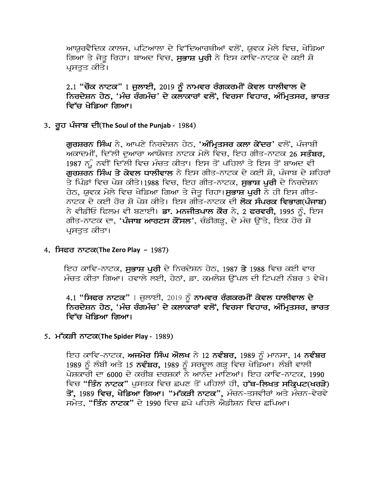ਆਯੁਰਵੈਦਿਕ ਕਾਲਜ, ਪਟਿਆਲਾ ਦੇ ਵਿੱਦਿਆਰਥੀਆਂ ਵਲੋਂ, ਯੁਵਕ ਮੇਲੇ ਵਿਚ, ਖੇਡਿਆ ਗਿਆ ਤੇ ਜੇਤੂ ਰਿਹਾ। ਬਾਅਦ ਵਿਚ, ਸੁਭਾਸ਼ ਪੁਰੀ ਨੇ ਇਸ ਕਾਵਿ-ਨਾਟਕ ਦੇ ਕਈ ਸ਼ੋ ਪਸਤਤ ਕੀਤੇ।

#### $2.1$  "ਚੌਕ ਨਾਟਕ" 1 ਜੁਲਾਈ, 2019 ਨੂੰ ਨਾਮਵਰ ਰੰਗਕਰਮੀਂ ਕੇਵਲ ਧਾਲੀਵਾਲ ਦੇ ਨਿਰਦੇਸ਼ਨ ਹੇਠ, 'ਮੰਚ ਰੰਗਮੰਚ' ਦੇ ਕਲਾਕਾਰਾਂ ਵਲੋਂ, ਵਿਰਸਾ ਵਿਹਾਰ, ਅੰਮਿਤਸਰ, ਭਾਰਤ ਵਿੱਚ ਖੇਡਿਆ ਗਿਆ।

#### 3. ਰੂਹ ਪੰਜਾਬ ਦੀ(The Soul of the Punjab - 1984)

ਗੁਰਸ਼ਰਨ ਸਿੰਘ ਨੇ, ਆਪਣੇ ਨਿਰਦੇਸ਼ਨ ਹੇਠ, '<mark>ਅੰਮ੍ਰਿਤਸਰ ਕਲਾ ਕੇਂਦਰ</mark>' ਵਲੋਂ, ਪੰਜਾਬੀ ਅਕਾਦਮੀਂ, ਦਿੱਲੀ ਦਆਰਾ ਆਯੋਜਤ ਨਾਟਕ ਮੇਲੇ ਵਿਚ, ਇਹ ਗੀਤ-ਨਾਟਕ 26 **ਸਤੰਬਰ,** 1987 ਨੂੰ ਨਵੀਂ ਦਿੱਲੀ ਵਿਚ ਮੰਚਤ ਕੀਤਾ। ਇਸ ਤੋਂ ਪਹਿਲਾਂ ਤੇ ਇਸ ਤੋਂ ਬਾਅਦ ਵੀ ਗਰਸ਼ਰਨ ਸਿੰਘ ਤੇ ਕੇਵਲ ਧਾਲੀਵਾਲ ਨੇ ਇਸ ਗੀਤ-ਨਾਟਕ ਦੇ ਕਈ ਸ਼ੋ, ਪੰਜਾਬ ਦੇ ਸ਼ਹਿਰਾਂ ਤੇ ਪਿੰਡਾਂ ਵਿਚ ਪੇਸ਼ ਕੀਤੇ।1988 ਵਿਚ, ਇਹ ਗੀਤ-ਨਾਟਕ, **ਸਭਾਸ਼ ਪਰੀ** ਦੇ ਨਿਰਦੇਸ਼ਨ ਹੇਠ, ਯੁਵਕ ਮੇਲੇ ਵਿਚ ਖੇਡਿਆ ਗਿਆ ਤੇ ਜੇਤੂ ਰਿਹਾ।**ਸੁਭਾਸ਼ ਪੂਰੀ** ਨੇ ਹੀ ਇਸ ਗੀਤ-ਨਾਟਕ ਦੇ ਕਈ ਹੋਰ ਸ਼ੋ ਪੇਸ਼ ਕੀਤੇ। ਇਸ ਗੀਤ-ਨਾਟਕ ਦੀ **ਲੋਕ ਸੰਪਰਕ ਵਿਭਾਗ(ਪੰਜਾਬ)** ਨੇ ਵੀਡੀਓ ਫਿਲਮ ਵੀ ਬਣਾਈ। **ਡਾ. ਮਨਜੀਤਪਾਲ ਕੌਰ** ਨੇ, 2 **ਫਰਵਰੀ,** 1995 ਨੂੰ, ਇਸ ਗੀਤ-ਨਾਟਕ ਦਾ, '**ਪੰਜਾਬ ਆਰਟਸ ਕੋਂਸਲ**', ਚੰਡੀਗੜ੍ਹ, ਦੇ ਮੰਚ ਉੱਤੇ, ਇਕ ਹੋਰ ਸ਼ੋ ਪਸਤਤ ਕੀਤਾ।

#### 1. ਸਿਫਰ ਨਾਟਕ(The Zero Play - 1987)

ਇਹ ਕਾਵਿ-ਨਾਟਕ, ਸਭਾਸ਼ ਪਰੀ ਦੇ ਨਿਰਦੇਸ਼ਨ ਹੇਠ, 1987 ਤੇ 1988 ਵਿਚ ਕਈ ਵਾਰ ਮੰਚਤ ਕੀਤਾ ਗਿਆ। ਹਵਾਲੇ ਲਈ, ਹੇਠਾਂ, ਡਾ. ਕਮਲੇਸ਼ ਉੱਪਲ ਦੀ ਟਿਪਣੀ ਨੰਬਰ 3 ਵੇਖੋ।

 $4.1$  "ਸਿਫਰ ਨਾਟਕ" 1 ਜੁਲਾਈ, 2019 ਨੂੰ ਨਾਮਵਰ ਰੰਗਕਰਮੀ ਕੇਵਲ ਧਾਲੀਵਾਲ ਦੇ ਨਿਰਦੇਸ਼ਨ ਹੇਠ, 'ਮੰਚ ਰੰਗਮੰਚ' ਦੇ ਕਲਾਕਾਰਾਂ ਵਲੋਂ, ਵਿਰਸਾ ਵਿਹਾਰ, ਅੰਮ੍ਰਿਤਸਰ, ਭਾਰਤ ਵਿੱਚ ਖੇਡਿਆ ਗਿਆ।

#### 5. m~kVI nwtk(**The Spider Play -** 1989)

ਇਹ ਕਾਵਿ-ਨਾਟਕ, **ਅਜਮੇਰ ਸਿੰਘ ਔਲਖ** ਨੇ 12 **ਨਵੰਬਰ,** 1989 ਨੂੰ ਮਾਨਸਾ, 14 **ਨਵੰਬਰ** 1989 ਨੂੰ ਲੰਬੀ ਅਤੇ 15 **ਨਵੰਬਰ,** 1989 ਨੂੰ ਸਰਦੂਲ ਗੜ੍ਹ ਵਿਚ ਖੇਡਿਆ। ਲੰਬੀ ਵਾਲੀ ਪੇਸ਼ਕਾਰੀ ਦਾ 6000 ਦੇ ਕਰੀਬ ਦਰਸ਼ਕਾਂ ਨੇ ਆਨੰਦ ਮਾਣਿਆਂ। ਇਹ ਕਾਵਿ-ਨਾਟਕ, 1990 ਵਿਚ "ਤਿੰਨ ਨਾਟਕ" ਪਸਤਕ ਵਿਚ ਛਪਣ ਤੋਂ ਪਹਿਲਾਂ ਹੀ, ਹੱਥ-ਲਿਖਤ ਸਕ੍ਰਿਪਟ(ਖਰੜੇ) ਤੋਂ, 1989 ਵਿਚ, ਖੇਡਿਆ ਗਿਆ। "ਮੱਕੜੀ ਨਾਟਕ", ਮੰਚਨ-ਤਸਵੀਰਾਂ ਅਤੇ ਮੰਚਨ-ਵੇਰਵੇ ਸਮੇਤ, "ਤਿੰਨ ਨਾਟਕ" ਦੇ 1990 ਵਿਚ ਛਪੇ ਪਹਿਲੇ ਐਡੀਸ਼ਨ ਵਿਚ ਛਪਿਆ।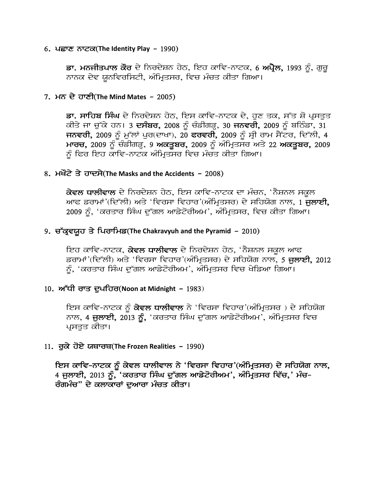#### 6. pCwx nwtk(**The Identity Play** - 1990)

ਡਾ. ਮਨਜੀਤਪਾਲ ਕੌਰ ਦੇ ਨਿਰਦੇਸ਼ਨ ਹੇਠ, ਇਹ ਕਾਵਿ-ਨਾਟਕ, 6 ਅਪ੍ਰੈਲ, 1993 ਨੂੰ, ਗੁਰੂ ਨਾਨਕ ਦੇਵ ਯੂਨਵਿਰਸਿਟੀ, ਅੰਮ੍ਰਿਤਸਰ, ਵਿਚ ਮੰਚਤ ਕੀਤਾ ਗਿਆ।

#### 7. mn dy hwxI(**The Mind Mates** - 2005)

ਡਾ. ਸਾਹਿਬ ਸਿੰਘ ਦੇ ਨਿਰਦੇਸ਼ਨ ਹੇਠ, ਇਸ ਕਾਵਿ-ਨਾਟਕ ਦੇ, ਹੁਣ ਤਕ, ਸੱਤ ਸ਼ੋ ਪ੍ਰਸਤੂਤ ਕੀਤੇ ਜਾ ਚੁੱਕੇ ਹਨ। 3 ਦਸੰਬਰ, 2008 ਨੂੰ ਚੰਡੀਗੜ੍ਹ, 30 ਜਨਵਰੀ, 2009 ਨੂੰ ਬਠਿੰਡਾ, 31 ਜਨਵਰੀ, 2009 ਨੂੰ ਮੁੱਲਾਂ ਪੁਰ(ਦਾਖਾ), 20 ਫਰਵਰੀ, 2009 ਨੂੰ ਸ੍ਰੀ ਰਾਮ ਸੈਂਟਰ, ਦਿੱਲੀ, 4 ਮਾਰਚ, 2009 ਨੂੰ ਚੰਡੀਗੜ੍ਹ, 9 ਅਕਤੂਬਰ, 2009 ਨੂੰ ਅੰਮ੍ਰਿਤਸਰ ਅਤੇ 22 ਅਕਤੂਬਰ, 2009 ਨੂੰ ਫਿਰ ਇਹ ਕਾਵਿ-ਨਾਟਕ ਅੰਮ੍ਰਿਤਸਰ ਵਿਚ ਮੰਚਤ ਕੀਤਾ ਗਿਆ।

#### 8. ਮਖੌਟੇ ਤੇ ਹਾਦਸੇ(The Masks and the Accidents – 2008)

ਕੇਵਲ ਧਾਲੀਵਾਲ ਦੇ ਨਿਰਦੇਸ਼ਨ ਹੇਠ, ਇਸ ਕਾਵਿ-ਨਾਟਕ ਦਾ ਮੰਚਨ, 'ਨੈਸ਼ਨਲ ਸਕੂਲ ਆਫ ਡਰਾਮਾਂ'(ਦਿੱਲੀ) ਅਤੇ 'ਵਿਰਸਾ ਵਿਹਾਰ'(ਅੰਮ੍ਰਿਤਸਰ) ਦੇ ਸਹਿਯੋਗ ਨਾਲ, 1 ਜੁਲਾਈ, 2009 ਨੂੰ, 'ਕਰਤਾਰ ਸਿੰਘ ਦੁੱਗਲ ਆਡੇਟੋਰੀਅਮ', ਅੰਮ੍ਰਿਤਸਰ, ਵਿਚ ਕੀਤਾ ਗਿਆ।

#### 9. ਚੱਕ੍ਰਵਯੁਹ ਤੇ ਪਿਰਾਮਿਡ(The Chakravyuh and the Pyramid – 2010)

ਇਹ ਕਾਵਿ-ਨਾਟਕ, **ਕੇਵਲ ਧਾਲੀਵਾਲ** ਦੇ ਨਿਰਦੇਸ਼ਨ ਹੇਠ, 'ਨੈਸ਼ਨਲ ਸਕਲ ਆਫ ਡਰਾਮਾਂ'(ਦਿੱਲੀ) ਅਤੇ 'ਵਿਰਸਾ ਵਿਹਾਰ'(ਅੰਮ੍ਰਿਤਸਰ) ਦੇ ਸਹਿਯੋਗ ਨਾਲ, 5 **ਜੁਲਾਈ,** 2012 ਨੂੰ, 'ਕਰਤਾਰ ਸਿੰਘ ਦੁੱਗਲ ਆਡੇਟੋਰੀਅਮ', ਅੰਮ੍ਰਿਤਸਰ ਵਿਚ ਖੇਡਿਆ ਗਿਆ।

#### 10. ਅੱਧੀ ਰਾਤ ਦੁਪਹਿਰ(Noon at Midnight – 1983)

ਇਸ ਕਾਵਿ-ਨਾਟਕ ਨੂੰ **ਕੇਵਲ ਧਾਲੀਵਾਲ** ਨੇ 'ਵਿਰਸਾ ਵਿਹਾਰ'(ਅੰਮ੍ਰਿਤਸਰ ) ਦੇ ਸਹਿਯੋਗ ਨਾਲ, 4 ਜੁਲਾਈ, 2013 ਨੂੰ, 'ਕਰਤਾਰ ਸਿੰਘ ਦੁੱਗਲ ਆਡੇਟੋਰੀਅਮ', ਅੰਮ੍ਰਿਤਸਰ ਵਿਚ ਪੁਸਤਤ ਕੀਤਾ।

#### 11. ਰਕੇ ਹੋਏ ਯਥਾਰਥ(The Frozen Realities – 1990)

ਇਸ ਕਾਵਿ-ਨਾਟਕ ਨੂੰ ਕੇਵਲ ਧਾਲੀਵਾਲ ਨੇ 'ਵਿਰਸਾ ਵਿਹਾਰ'(ਅੰਮ੍ਰਿਤਸਰ) ਦੇ ਸਹਿਯੋਗ ਨਾਲ, 4 ਜੁਲਾਈ, 2013 ਨੂੰ, 'ਕਰਤਾਰ ਸਿੰਘ ਦੁੱਗਲ ਆਡੇਟੋਰੀਅਮ', ਅੰਮ੍ਰਿਤਸਰ ਵਿੱਚ,' ਮੰਚ-ਰੰਗਮੰਚ" ਦੇ ਕਲਾਕਾਰਾਂ ਦਆਰਾ ਮੰਚਤ ਕੀਤਾ।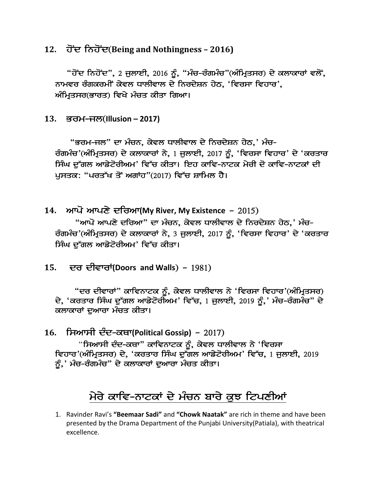**12.** hoNd inhoNd(**Being and Nothingness – 2016)**

"ਹੋਂਦ ਨਿਹੋਂਦ", 2 ਜੁਲਾਈ, 2016 ਨੂੰ, "ਮੰਚ-ਰੰਗਮੰਚ"(ਅੰਮ੍ਰਿਤਸਰ) ਦੇ ਕਲਾਕਾਰਾਂ ਵਲੋਂ, ਨਾਮਵਰ ਰੰਗਕਰਮੀਂ ਕੇਵਲ ਧਾਲੀਵਾਲ ਦੇ ਨਿਰਦੇਸ਼ਨ ਹੇਠ, 'ਵਿਰਸਾ ਵਿਹਾਰ', ਅੰਮ੍ਰਿਤਸਰ(ਭਾਰਤ) ਵਿਖੇ ਮੰਚਤ ਕੀਤਾ ਗਿਆ।

**13.** Brm-jl(**Illusion – 2017)**

"ਭਰਮ-ਜਲ" ਦਾ ਮੰਚਨ, ਕੇਵਲ ਧਾਲੀਵਾਲ ਦੇ ਨਿਰਦੇਸ਼ਨ ਹੇਠ,' ਮੰਚ-ਰੰਗਮੰਚ'(ਅੰਮ੍ਰਿਤਸਰ) ਦੇ ਕਲਾਕਾਰਾਂ ਨੇ, 1 ਜੁਲਾਈ, 2017 ਨੂੰ, 'ਵਿਰਸਾ ਵਿਹਾਰ' ਦੇ 'ਕਰਤਾਰ ਸਿੰਘ ਦੱਗਲ ਆਡੇਟੋਰੀਅਮ' ਵਿੱਚ ਕੀਤਾ। ਇਹ ਕਾਵਿ-ਨਾਟਕ ਮੇਰੀ ਦੋ ਕਾਵਿ-ਨਾਟਕਾਂ ਦੀ ਪਸਤਕ: "ਪਰਤੱਖ ਤੋਂ ਅਗਾਂਹ"(2017) ਵਿੱਚ ਸ਼ਾਮਿਲ ਹੈ।

- 14. ਆਪੋ ਆਪਣੇ ਦਰਿਆ(My River, My Existence 2015) "ਆਪੋ ਆਪਣੇ ਦਰਿਆ" ਦਾ ਮੰਚਨ, ਕੇਵਲ ਧਾਲੀਵਾਲ ਦੇ ਨਿਰਦੇਸ਼ਨ ਹੇਠ,' ਮੰਚ-ਰੰਗਮੰਚ'(ਅੰਮ੍ਰਿਤਸਰ) ਦੇ ਕਲਾਕਾਰਾਂ ਨੇ, 3 ਜੁਲਾਈ, 2017 ਨੂੰ, 'ਵਿਰਸਾ ਵਿਹਾਰ' ਦੇ 'ਕਰਤਾਰ ਸਿੰਘ ਦੱਗਲ ਆਡੇਟੋਰੀਅਮ' ਵਿੱਚ ਕੀਤਾ।
- 15. **ਦਰ ਦੀਵਾਰਾਂ(Doors and Walls) 1981)**

"ਦਰ ਦੀਵਾਰਾਂ" ਕਾਵਿਨਾਟਕ ਨੂੰ, ਕੇਵਲ ਧਾਲੀਵਾਲ ਨੇ 'ਵਿਰਸਾ ਵਿਹਾਰ'(ਅੰਮ੍ਰਿਤਸਰ) ਦੇ, 'ਕਰਤਾਰ ਸਿੰਘ ਦੱਗਲ ਆਡੇਟੋਰੀਅਮ' ਵਿੱਚ, 1 ਜਲਾਈ, 2019 ਨੰ,' ਮੰਚ-ਰੰਗਮੰਚ" ਦੇ ਕਲਾਕਾਰਾਂ ਦੁਆਰਾ ਮੰਚਤ ਕੀਤਾ।

16. ਸਿਆਸੀ ਦੰਦ-ਕਥਾ(Political Gossip) – 2017)

"ਸਿਆਸੀ ਦੰਦ-ਕਥਾ" ਕਾਵਿਨਾਟਕ ਨੂੰ, ਕੇਵਲ ਧਾਲੀਵਾਲ ਨੇ 'ਵਿਰਸਾ ਵਿਹਾਰ'(ਅੰਮ੍ਰਿਤਸਰ) ਦੇ, 'ਕਰਤਾਰ ਸਿੰਘ ਦੁੱਗਲ ਆਡੇਟੋਰੀਅਮ' ਵਿੱਚ, 1 ਜੁਲਾਈ, 2019 ਨੂੰ,' ਮੰਚ-ਰੰਗਮੰਚ" ਦੇ ਕਲਾਕਾਰਾਂ ਦੁਆਰਾ ਮੰਚਤ ਕੀਤਾ।

# ਮੇਰੇ ਕਾਵਿ-ਨਾਟਕਾਂ ਦੇ ਮੰਚਨ ਬਾਰੇ ਕੁਝ ਟਿਪਣੀਆਂ

1. Ravinder Ravi's **"Beemaar Sadi"** and **"Chowk Naatak"** are rich in theme and have been presented by the Drama Department of the Punjabi University(Patiala), with theatrical excellence.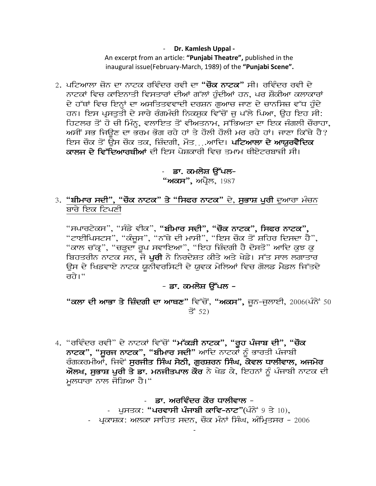- **Dr. Kamlesh Uppal -**

An excerpt from an article: **"Punjabi Theatre",** published in the inaugural issue(February-March, 1989) of the **"Punjabi Scene".**

2. ਪਟਿਆਲਾ ਜ਼ੋਨ ਦਾ ਨਾਟਕ ਰਵਿੰਦਰ ਰਵੀ ਦਾ "**ਚੌਕ ਨਾਟਕ**" ਸੀ। ਰਵਿੰਦਰ ਰਵੀ ਦੇ ਨਾਟਕਾਂ ਵਿਚ ਕਾਇਨਾਤੀ ਵਿਸਤਾਰਾਂ ਦੀਆਂ ਗੱਲਾਂ ਹੰਦੀਆਂ ਹਨ, ਪਰ ਸ਼ੌਕੀਆ ਕਲਾਕਾਰਾਂ ਦੇ ਹੱਥਾਂ ਵਿਚ ਇਨ੍ਹਾਂ ਦਾ ਅਸਤਿਤਵਵਾਦੀ ਦਰਸ਼ਨ ਗੁਆਚ ਜਾਣ ਦੇ ਚਾਨਸਿਜ਼ ਵੱਧ ਹੁੰਦੇ ਹਨ। ਇਸ ਪ੍ਰਸਤੁਤੀ ਦੇ ਸਾਰੇ ਰੰਗਮੰਚੀ ਨਿਕਸਕ ਵਿੱਚੋਂ ਜੂ ਪੱਲੇ ਪਿਆ, ਉਹ ਇਹ ਸੀ: <u>ਹਿਟਲਰ ਤੋਂ ਹੋ ਚੀ ਮਿੰਨ, ਵਲਾਇਤ ਤੋਂ ਵੀਅਤਨਾਮ, ਸੱਭਿਅਤਾ ਦਾ ਇਕ ਜੰਗਲੀ ਚੌਰਾਹਾ,</u> ਅਸੀਂ ਸਭ ਜਿਉਣ ਦਾ ਭਰਮ ਭੋਗ ਰਹੇ ਹਾਂ ਤੇ ਹੌਲੀ ਹੌਲੀ ਮਰ ਰਹੇ ਹਾਂ। ਜਾਣਾ ਕਿੱਥੇ ਹੈ? ਇਸ ਚੌਕ ਤੋਂ ਉਸ ਚੌਕ ਤਕ, ਜ਼ਿੰਦਗੀ, ਮੌਤ .ਆਦਿ। **ਪਟਿਆਲਾ ਦੇ ਆਯਰਵੈਦਿਕ** ਕਾਲਜ ਦੇ ਵਿੱਦਿਆਰਥੀਆਂ ਦੀ ਇਸ ਪੇਸ਼ਕਾਰੀ ਵਿਚ ਤਮਾਮ ਥੀਏਟਰਬਾਜ਼ੀ ਸੀ।

- ਡਾ. ਕਮਲੇਸ਼ ਉੱਪਲ-

"**ਅਕਸ",** ਅਪ੍ਰੈਲ, 1987

3. "ਬੀਮਾਰ ਸਦੀ", "ਚੌਕ ਨਾਟਕ" ਤੇ "ਸਿਫਰ ਨਾਟਕ" ਦੇ, ਸੁਭਾਸ਼ ਪੁਰੀ ਦੁਆਰਾ ਮੰਚਨ ਬਾਰੇ ਇਕ ਟਿਪਣੀ

"ਸਪਾਰਟੇਕਸ", "ਸੰਡੇ ਵੀਕ", **"ਬੀਮਾਰ ਸਦੀ", "ਚੌਕ ਨਾਟਕ", ਸਿਫਰ ਨਾਟਕ",** "ਟਾਈਪਿਸਟਸ", "ਕੱਜੂਸ", "ਨੱਥੇ ਦੀ ਮਾਸੀ", "ਇਸ ਚੌਕ ਤੋਂ ਸ਼ਹਿਰ ਦਿਸਦਾ ਹੈ", "ਕਾਲ ਚੱਕ੍", "ਚੜ੍ਹਦਾ ਰੂਪ ਸਵਾਇਆ", "ਇਹ ਜ਼ਿੰਦਗੀ ਹੈ ਦੋਸਤੋ" ਆਦਿ ਕੁਝ ਕੁ<sup>ੱ</sup> ਬਿਹਤਰੀਨ ਨਾਟਕ ਸਨ, ਜੋ <mark>ਪਰੀ</mark> ਨੇ ਨਿਰਦੇਸ਼ਤ ਕੀਤੇ ਅਤੇ ਖੇਡੇ। ਸੱਤ ਸਾਲ ਲਗਾਤਾਰ ਉਸ ਦੇ ਖਿਡਵਾਏ ਨਾਟਕ ਯੂਨੀਵਰਸਿਟੀ ਦੇ ਯੂਵਕ ਮੇਲਿਆਂ ਵਿਚ ਗੋਲਡ ਮੈਡਲ ਜਿੱਤਦੇ तते।"

#### - ਡਾ. ਕਮਲੇਸ਼ ਉੱਪਲ *–*

"ਕਲਾ ਦੀ ਆਭਾ ਤੇ ਜ਼ਿੰਦਗੀ ਦਾ ਆਥਣ" ਵਿੱਚੋਂ, "ਅਕਸ", ਜਨ-ਜਲਾਈ, 2006(ਪੰਨੇਂ 50  $\vec{f}$  52)

4. "ਰਵਿੰਦਰ ਰਵੀ" ਦੇ ਨਾਟਕਾਂ ਵਿੱਚੋਂ "<mark>ਮੱਕੜੀ ਨਾਟਕ", "ਰੂਹ ਪੰਜਾਬ ਦੀ", "ਚੌਕ</mark> ਨਾਟਕ", "ਸੂਰਜ ਨਾਟਕ", "ਬੀਮਾਰ ਸਦੀ" ਆਦਿ ਨਾਟਕਾਂ ਨੂੰ ਭਾਰਤੀ ਪੰਜਾਬੀ ਰੰਗਕਰਮੀਆਂ, ਜਿਵੇਂ **ਸਰਜੀਤ ਸਿੰਘ ਸੇਠੀ, ਗਰਸ਼ਰਨ ਸਿੰਘ, ਕੇਵਲ ਧਾਲੀਵਾਲ, ਅਜਮੇਰ**  $\hat{\boldsymbol{w}}$ ਲਖ, ਸੁਭਾਸ਼ ਪੂਰੀ ਤੇ ਡਾ. ਮਨਜੀਤਪਾਲ ਕੌਰ ਨੇ ਖੇਡ ਕੇ, ਇਹਨਾਂ ਨੂੰ ਪੰਜਾਬੀ ਨਾਟਕ ਦੀ ਮਲਧਾਰਾ ਨਾਲ ਜੋੜਿਆ ਹੈ।"

> - ੂਡਾ. ਅਰਵਿੰਦਰ ਕੌਰ ਧਾਲੀਵਾਲ – - ਪਸਤਕ: "ਪਰਵਾਸੀ ਪੰਜਾਬੀ ਕਾਵਿ-ਨਾਟ"(ਪੰਨੇਂ 9 ਤੇ 10), - ਪ੍ਰਕਾਸ਼ਕ: ਅਲਕਾ ਸਾਹਿਤ ਸਦਨ, ਚੌਕ ਮੰਨਾਂ ਸਿੰਘ, ਅੰਮ੍ਰਿਤਸਰ – 2006

> > -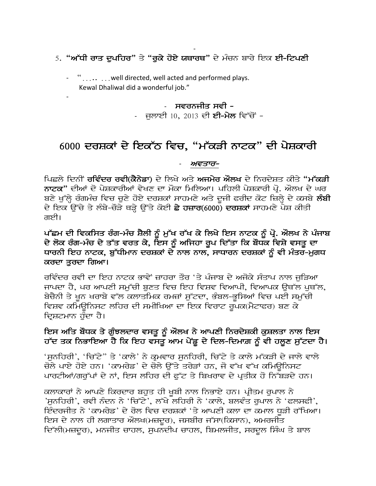#### - <u>5.</u> "ਅੱਧੀ ਰਾਤ ਦੁਪਹਿਰ" ਤੇ "ਰੁਕੇ ਹੋਏ ਯਥਾਰਥ" ਦੇ ਮੰਚਨ ਬਾਰੇ ਇਕ ਈ-ਟਿਪਣੀ

- "..... …well directed, well acted and performed plays. Kewal Dhaliwal did a wonderful job."

-

#### ਸਵਰਨਜੀਤ ਸਵੀ -  $\overline{a}$

- ਜਲਾਈ 10, 2013 ਦੀ **ਈ-ਮੇਲ** ਵਿੱਚੋਂ -

### 6000 ਦਰਸ਼ਕਾਂ ਦੇ ਇਕੱਠ ਵਿਚ, "ਮੱਕੜੀ ਨਾਟਕ" ਦੀ ਪੇਸ਼ਕਾਰੀ

#### ਅਵਤਾਰ-

ਪਿਛਲੇ ਦਿਨੀਂ **ਰਵਿੰਦਰ ਰਵੀ(ਕੈਨੇਡਾ**) ਦੇ ਲਿਖੇ ਅਤੇ **ਅਜਮੇਰ ਔਲਖ** ਦੇ ਨਿਰਦੇਸ਼ਤ ਕੀਤੇ "ਮੱ**ਕੜੀ** ਨਾਟਕ" ਦੀਆਂ ਦੋ ਪੇਸ਼ਕਾਰੀਆਂ ਵੇਖਣ ਦਾ ਮੌਕਾ ਮਿਲਿਆ। ਪਹਿਲੀ ਪੇਸ਼ਕਾਰੀ ਪ੍ਰੋ. ਔਲਖ ਦੇ ਘਰ ਬਣੇ ਖੁੱਲ੍ਹੇ ਰੰਗਮੰਚ ਵਿਚ ਚੁਣੇ ਹੋਏ ਦਰਸ਼ਕਾਂ ਸਾਹਮਣੇ ਅਤੇ ਦੂਜੀ ਫਰੀਦ ਕੋਟ ਜ਼ਿਲ੍ਹੇ ਦੇ ਕਸਬੇ ਲੰਬੀ ਦੇ ਇਕ ਉੱਚੇ ਤੇ ਲੰਬੇ-ਚੋੜੇ ਥੜ੍ਹੇ ਉੱਤੇ ਕੋਈ **ਛੇ ਹਜ਼ਾਰ**(6000) ਦਰਸ਼ਕਾਂ ਸਾਹਮਣੇ ਪੇਸ਼ ਕੀਤੀ ਗਈ।

#### ਪੱਛਮ ਦੀ ਵਿਕਸਿਤ ਰੰਗ-ਮੰਚ ਸ਼ੈਲੀ ਨੂੰ ਮੁੱਖ ਰੱਖ ਕੇ ਲਿਖੇ ਇਸ ਨਾਟਕ ਨੂੰ ਪ੍ਰੋ. ਔਲਖ ਨੇ ਪੰਜਾਬ ਦੇ ਲੋਕ ਰੰਗ-ਮੰਚ ਦੇ ਤੱਤ ਵਰਤ ਕੇ, ਇਸ ਨੂੰ ਅਜਿਹਾ ਰੂਪ ਦਿੱਤਾ ਕਿ ਬੌਧਕ ਵਿਸ਼ੇ ਵਸਤੂ ਦਾ ਧਾਰਨੀ ਇਹ ਨਾਟਕ, ਬੁੱਧੀਮਾਨ ਦਰਸ਼ਕਾਂ ਦੇ ਨਾਲ ਨਾਲ, ਸਾਧਾਰਨ ਦਰਸ਼ਕਾਂ ਨੂੰ ਵੀ ਮੰਤਰ-ਮੁਗਧ ਕਰਦਾ ਤਰਦਾ ਗਿਆ।

ਰਵਿੰਦਰ ਰਵੀ ਦਾ ਇਹ ਨਾਟਕ ਭਾਵੇਂ ਜ਼ਾਹਰਾ ਤੌਰ 'ਤੇ ਪੰਜਾਬ ਦੇ ਅਜੋਕੇ ਸੰਤਾਪ ਨਾਲ ਜੁੜਿਆ ਜਾਪਦਾ ਹੈ, ਪਰ ਆਪਣੀ ਸਮੱਚੀ ਬਣਤ ਵਿਚ ਇਹ ਵਿਸ਼ਵ ਵਿਆਪੀ, ਵਿਆਪਕ ੳਥੱਲ ਪਥੱਲ, ਬੇਚੈਨੀ ਤੇ ਖੂਨ ਖਰਾਬੇ ਵੱਲ ਕਲਾਤਮਿਕ ਰਮਜ਼ਾਂ ਸੁੱਟਦਾ, ਭੰਬਲ-ਭੂਸਿਆਂ ਵਿਚ ਪਈ ਸਮੁੱਚੀ ਵਿਸ਼ਵ ਕਮਿਊਨਿਸਟ ਲਹਿਰ ਦੀ ਸਮੀਖਿਆ ਦਾ ਇਕ ਵਿਰਾਟ ਰੁਪਕ(ਮੈਟਾਫਰ) ਬਣ ਕੇ ਦਿਸ਼ਟਮਾਨ ਹੰਦਾ ਹੈ।

#### ਇਸ ਅਤਿ ਬੌਧਕ ਤੇ ਗੁੰਝਲਦਾਰ ਵਸਤੂ ਨੂੰ ਔਲਖ ਨੇ ਆਪਣੀ ਨਿਰਦੇਸ਼ਕੀ ਕੁਸ਼ਲਤਾ ਨਾਲ ਇਸ ਹੱਦ ਤਕ ਨਿਭਾਇਆ ਹੈ ਕਿ ਇਹ ਵਸਤੂ ਆਮ ਪੇਂਡੂ ਦੇ ਦਿਲ-ਦਿਮਾਗ਼ ਨੂੰ ਵੀ ਹਲੂਣ ਸੁੱਟਦਾ ਹੈ।

'ਸੁਨਹਿਰੀ', 'ਚਿੱਟੇ" ਤੇ 'ਕਾਲੇ' ਨੇ ਕੁਮਵਾਰ ਸੁਨਹਿਰੀ, ਚਿੱਟੇ ਤੇ ਕਾਲੇ ਮੱਕੜੀ ਦੇ ਜਾਲੇ ਵਾਲੇ ਚੋਲੇ ਪਾਏ ਹੋਏ ਹਨ। 'ਕਾਮਰੇਡ' ਦੇ ਚੋਲੇ ਉੱਤੇ ਤਰੇੜਾਂ ਹਨ, ਜੋ ਵੱਖ ਵੱਖ ਕਮਿਉਨਿਸਟ ਪਾਰਟੀਆਂ/ਗਰੁੱਪਾਂ ਦੇ ਨਾਂ, ਇਸ ਲਹਿਰ ਦੀ ਫੁੱਟ ਤੇ ਬਿਖਰਾਵ ਦੇ ਪ੍ਰਤੀਕ ਹੋ ਨਿੱਬੜਦੇ ਹਨ।

ਕਲਾਕਾਰਾਂ ਨੇ ਆਪਣੇ ਕਿਰਦਾਰ ਬਹਤ ਹੀ ਖਬੀ ਨਾਲ ਨਿਭਾਏ ਹਨ। ਪ੍ਰੀਤਮ ਰਪਾਲ ਨੇ 'ਸੁਨਹਿਰੀ', ਰਵੀ ਨੰਦਨ ਨੇ 'ਚਿੱਟੇ', ਲੱਖੇ ਲਹਿਰੀ ਨੇ 'ਕਾਲੇ, ਬਲਵੰਤ ਰੁਪਾਲ ਨੇ 'ਫਲਸਫੀ', ਇੰਦਰਜੀਤ ਨੇ 'ਕਾਮਰੇਡ' ਦੇ ਰੋਲ ਵਿਚ ਦਰਸ਼ਕਾਂ 'ਤੇ ਆਪਣੀ ਕਲਾ ਦਾ ਕਮਾਲ ਧੜੀ ਰੱਖਿਆ। ਇਸ ਦੇ ਨਾਲ ਹੀ ਲਗਾਤਾਰ ਔਲਖ(ਮਜ਼ਦੂਰ), ਜਸਬੀਰ ਜੱਸਾ(ਕਿਸਾਨ), ਅਮਰਜੀਤ ਦਿੱਲੀ(ਮਜ਼ਦੂਰ), ਮਨਜੀਤ ਚਾਹਲ, ਸੁਪਨਦੀਪ ਚਾਹਲ, ਬਿਮਲਜੀਤ, ਸਰਦੂਲ ਸਿੰਘ ਤੇ ਬਾਲ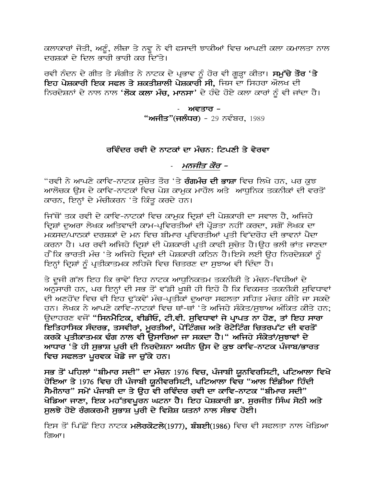ਕਲਾਕਾਰਾਂ ਜੋਤੀ, ਅਣੂੰ, ਲੀਜ਼ਾ ਤੇ ਨਵੂ ਨੇ ਵੀ ਫਸਾਦੀ ਝਾਕੀਆਂ ਵਿਚ ਆਪਣੀ ਕਲਾ ਕਮਾਲਤਾ ਨਾਲ ਦਰਸ਼ਕਾਂ ਦੇ ਦਿਲ ਭਾਰੀ ਭਾਰੀ ਕਰ ਦਿੱਤੇ।

ਰਵੀ ਨੰਦਨ ਦੇ ਗੀਤ ਤੇ ਸੰਗੀਤ ਨੇ ਨਾਟਕ ਦੇ ਪ੍ਰਭਾਵ ਨੂੰ ਹੋਰ ਵੀ ਗੂੜ੍ਹਾ ਕੀਤਾ। **ਸਮੁੱਚੇ ਤੌਰ 'ਤੇ** ਇਹ <mark>ਪੇਸ਼ਕਾਰੀ ਇਕ ਸਫਲ ਤੇ ਸ਼ਕਤੀਸ਼ਾਲੀ ਪੇਸ਼ਕਾਰੀ ਸੀ,</mark> ਜਿਸ ਦਾ ਸਿਹਰਾ ਔਲਖ ਦੀ ਨਿਰਦੇਸ਼ਨਾਂ ਦੇ ਨਾਲ ਨਾਲ '**ਲੋਕ ਕਲਾ ਮੰਚ, ਮਾਨਸਾ**' ਦੇ ਹੰਢੇ ਹੋਏ ਕਲਾ ਕਾਰਾਂ ਨੂੰ ਵੀ ਜਾਂਦਾ ਹੈ।

> ਅਵਤਾਰ – **"ਅਜੀਤ"(ਜਲੰਧਰ)** - 29 ਨਵੰਬਰ, 1989

#### ਰਵਿੰਦਰ ਰਵੀ ਦੇ ਨਾਟਕਾਂ ਦਾ ਮੰਚਨ: ਟਿਪਣੀ ਤੇ ਵੇਰਵਾ

#### ਮਨਜੀਤ ਕੌਰ –

"ਰਵੀ ਨੇ ਆਪਣੇ ਕਾਵਿ-ਨਾਟਕ ਸਚੇਤ ਤੌਰ 'ਤੇ **ਰੰਗਮੰਚ ਦੀ ਭਾਸ਼ਾ** ਵਿਚ ਲਿਖੇ ਹਨ, ਪਰ ਕੁਝ ਆਲੋਚਕ ਉਸ ਦੇ ਕਾਵਿ-ਨਾਟਕਾਂ ਵਿਚ ਪੇਸ਼ ਕਾਮਕ ਮਾਹੌਲ ਅਤੇ ਆਧਨਿਕ ਤਕਨੀਕਾਂ ਦੀ ਵਰਤੋਂ ਕਾਰਨ, ਇਨ੍ਹਾਂ ਦੇ ਮੰਚੀਕਰਨ 'ਤੇ ਕਿੰਤ ਕਰਦੇ ਹਨ।

ਜਿੱਥੋਂ ਤਕ ਰਵੀ ਦੇ ਕਾਵਿ-ਨਾਟਕਾਂ ਵਿਚ ਕਾਮਕ ਦਿਸ਼ਾਂ ਦੀ ਪੇਸ਼ਕਾਰੀ ਦਾ ਸਵਾਲ ਹੈ, ਅਜਿਹੇ ਦ੍ਰਿਸ਼ਾਂ ਦੁਅਰਾ ਲੇਖਕ ਅਤਿਵਾਦੀ ਕਾਮ-ਪ੍ਰਵਿਰਤੀਆਂ ਦੀ ਪ੍ਰੌੜਤਾ ਨਹੀਂ ਕਰਦਾ, ਸਗੋਂ ਲੇਖਕ ਦਾ ਮਕਸਦ/ਪਾਠਕਾਂ ਦਰਸ਼ਕਾਂ ਦੇ ਮਨ ਵਿਚ ਬੀਮਾਰ ਪ੍ਰਵਿਰਤੀਆਂ ਪ੍ਰਤੀ ਵਿੱਦਰੋਹ ਦੀ ਭਾਵਨਾਂ ਪੈਦਾ ਕਰਨਾ ਹੈ। ਪਰ ਰਵੀ ਅਜਿਹੇ ਦ੍ਰਿਸ਼ਾਂ ਦੀ ਪੇਸ਼ਕਾਰੀ ਪ੍ਰਤੀ ਕਾਫੀ ਸੂਚੇਤ ਹੈ।ਉਹ ਭਲੀ ਭਾਂਤ ਜਾਣਦਾ ਹੈ ਕਿ ਭਾਰਤੀ ਮੰਚ 'ਤੇ ਅਜਿਹੇ ਦਿਸ਼ਾਂ ਦੀ ਪੇਸ਼ਕਾਰੀ ਕਠਿਨ ਹੈ।ਇਸੇ ਲਈ ੳਹ ਨਿਰਦੇਸ਼ਕਾਂ ਨੰ ਇਨਾਂ ਦਿਸ਼ਾਂ ਨੂੰ ਪਤੀਕਾਤਮਕ ਲਹਿਜੇ ਵਿਚ ਚਿਤਰਣ ਦਾ ਸਝਾਅ ਵੀ ਦਿੰਦਾ ਹੈ।

ਤੇ ਦੂਜੀ ਗੱਲ ਇਹ ਕਿ ਭਾਵੇਂ ਇਹ ਨਾਟਕ ਆਧੁਨਿਕਤਮ ਤਕਨੀਕੀ ਤੇ ਮੰਚਨ-ਵਿਧੀਆਂ ਦੇ ਅਨੁਸਾਰੀ ਹਨ, ਪਰ ਇਨ੍ਹਾਂ ਦੀ ਸਭ ਤੋਂ ਵੱਡੀ ਖੂਬੀ ਹੀ ਇਹੋ ਹੈ ਕਿ ਵਿਕਸਤ ਤਕਨੀਕੀ ਸੁਵਿਧਾਵਾਂ ਦੀ ਅਣਹੋਂਦ ਵਿਚ ਵੀ ਇਹ ਢੱਕਵੇਂ ਮੰਚ-ਪੁਤੀਕਾਂ ਦਆਰਾ ਸਫਲਤਾ ਸਹਿਤ ਮੰਚਤ ਕੀਤੇ ਜਾ ਸਕਦੇ ਹਨ। ਲੇਖਕ ਨੇ ਆਪਣੇ ਕਾਵਿ-ਨਾਟਕਾਂ ਵਿਚ ਥਾਂ-ਥਾਂ 'ਤੇ ਅਜਿਹੇ ਸੰਕੇਤ/ਸਝਾਅ ਅੰਕਿਤ ਕੀਤੇ ਹਨ; ਉਦਾਹਰਣ ਵਜੋਂ "ਸਿਨਮੈਟਿਕ, ਵੀਡੀਓ, ਟੀ.ਵੀ. ਸੁਵਿਧਾਵਾਂ ਜੇ ਪ੍ਰਾਪਤ ਨਾ ਹੋਣ, ਤਾਂ ਇਹ ਸਾਰਾ ਇਤਿਹਾਸਿਕ ਸੰਦਰਭ, ਤਸਵੀਰਾਂ, ਮੁਰਤੀਆਂ, ਪੇਂਟਿੰਗਜ਼ ਅਤੇ ਰੋਟੇਟਿੰਗ ਚਿਤਰਪੱਟ ਦੀ ਵਰਤੋਂ ਕਰਕੇ ਪ੍ਰਤੀਕਾਤਮਕ ਢੰਗ ਨਾਲ ਵੀ ਉਸਾਰਿਆ ਜਾ ਸਕਦਾ ਹੈ।" ਅਜਿਹੇ ਸੰਕੇਤਾਂ/ਸੁਝਾਵਾਂ ਦੇ ਆਧਾਰ 'ਤੇ ਹੀ ਸੁਭਾਸ਼ ਪੁਰੀ ਦੀ ਨਿਰਦੇਸ਼ਨਾ ਅਧੀਨ ਉਸ ਦੇ ਕੁਝ ਕਾਵਿ-ਨਾਟਕ ਪੰਜਾਬ/ਭਾਰਤ ਵਿਚ ਸਫਲਤਾ ਪਰਵਕ ਖੇਡੇ ਜਾ ਚੁੱਕੇ ਹਨ।

ਸਭ ਤੋਂ ਪਹਿਲਾਂ "ਬੀਮਾਰ ਸਦੀ" ਦਾ ਮੰਚਨ 1976 ਵਿਚ, ਪੰਜਾਬੀ ਯੂਨਵਿਰਸਿਟੀ, ਪਟਿਆਲਾ ਵਿਖੇ ਹੋਇਆ ਤੇ 1976 ਵਿਚ ਹੀ ਪੰਜਾਬੀ ਯੂਨੀਵਰਸਿਟੀ, ਪਟਿਆਲਾ ਵਿਚ "ਆਲ ਇੰਡੀਆ ਹਿੰਦੀ ਸੈਮੀਨਾਰ" ਸਮੇਂ ਪੰਜਾਬੀ ਦਾ ਤੇ ਉਹ ਵੀ ਰਵਿੰਦਰ ਰਵੀ ਦਾ ਕਾਵਿ-ਨਾਟਕ "ਬੀਮਾਰ ਸਦੀ" ਖੇਡਿਆ ਜਾਣਾ, ਇਕ ਮਹੱਤਵਪੂਰਨ ਘਟਨਾ ਹੈ। ਇਹ ਪੇਸ਼ਕਾਰੀ ਡਾ. ਸੁਰਜੀਤ ਸਿੰਘ ਸੇਠੀ ਅਤੇ ਸਲਝੇ ਹੋਏ ਰੰਗਕਰਮੀ ਸਭਾਸ਼ ਪਰੀ ਦੇ ਵਿਸ਼ੇਸ਼ ਯਤਨਾਂ ਨਾਲ ਸੰਭਵ ਹੋਈ।

ਇਸ ਤੋਂ ਪਿੱਛੋਂ ਇਹ ਨਾਟਕ ਮਲੇਰਕੋਟਲੇ(1977), ਬੰਬਈ(1986) ਵਿਚ ਵੀ ਸਫਲਤਾ ਨਾਲ ਖੇਡਿਆ ਗਿਆ।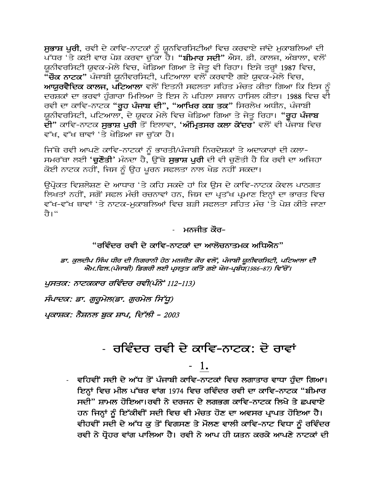ਸੁਭਾਸ਼ ਪੁਰੀ, ਰਵੀ ਦੇ ਕਾਵਿ-ਨਾਟਕਾਂ ਨੂੰ ਯੂਨਵਿਰਸਿਟੀਆਂ ਵਿਚ ਕਰਵਾਏ ਜਾਂਦੇ ਮੁਕਾਬਲਿਆਂ ਦੀ ਪੱਧਰ 'ਤੇ ਕਈ ਵਾਰ ਪੇਸ਼ ਕਰਵਾ ਚੁੱਕਾ ਹੈ। "**ਬੀਮਾਰ ਸਦੀ**" ਐਸ. ਡੀ. ਕਾਲਜ, ਅੰਬਾਲਾ, ਵਲੋਂ ਯਨੀਵਰਸਿਟੀ ਯ਼ਵਕ-ਮੇਲੇ ਵਿਚ, ਖੇਡਿਆ ਗਿਆ ਤੇ ਜੇਤੂ ਵੀ ਰਿਹਾ। ਇਸੇ ਤਰ੍ਹਾਂ 1987 ਵਿਚ, "ੱਚੌਕ ਨਾਟਕ" ਪੰਜਾਬੀ ਯੂਨੀਵਰਸਿਟੀ, ਪਟਿਆਲਾ ਵਲੋਂ ਕਰਵਾਏ ਗਏ ਯੁਵਕ-ਮੇਲੇ ਵਿਚ, ਆਯੁਰਵੈਦਿਕ ਕਾਲਜ, ਪਟਿਆਲਾ ਵਲੋਂ ਇਤਨੀ ਸਫਲਤਾ ਸਹਿਤ ਮੰਚਤ ਕੀਤਾ ਗਿਆ ਕਿ ਇਸ ਨੂੰ ਦਰਸ਼ਕਾਂ ਦਾ ਭਰਵਾਂ ਹੁੰਗਾਰਾ ਮਿਲਿਆ ਤੇ ਇਸ ਨੇ ਪਹਿਲਾ ਸਥਾਨ ਹਾਸਿਲ ਕੀਤਾ। 1988 ਵਿਚ ਵੀ ਰਵੀ ਦਾ ਕਾਵਿ-ਨਾਟਕ "<mark>ਰੂਹ ਪੰਜਾਬ ਦੀ", "ਆਖਿਰ ਕਬ ਤਕ</mark>" ਸਿਰਲੇਖ ਅਧੀਨ, ਪੰਜਾਬੀ ਯੂਨੀਵਰਸਿਟੀ, ਪਟਿਆਲਾ, ਦੇ ਯੂਵਕ ਮੇਲੇ ਵਿਚ ਖੇਡਿਆ ਗਿਆ ਤੇ ਜੇਤੂ ਰਿਹਾ। "ਰੂਹ ਪੰਜਾਬ ਦੀ" ਕਾਵਿ-ਨਾਟਕ **ਸਭਾਸ਼ ਪਰੀ** ਤੋਂ ਇਲਾਵਾ, '**ਅੰਮ੍ਰਿਤਸਰ ਕਲਾ ਕੇਂਦਰ**' ਵਲੋਂ ਵੀ ਪੰਜਾਬ ਵਿਚ ਵੱਖ, ਵੱਖ ਥਾਵਾਂ 'ਤੇ ਖੇਡਿਆ ਜਾ ਚੱਕਾ ਹੈ।

ਜਿੱਥੇ ਰਵੀ ਆਪਣੇ ਕਾਵਿ-ਨਾਟਕਾਂ ਨੰ ਭਾਰਤੀ/ਪੰਜਾਬੀ ਨਿਰਦੇਸ਼ਕਾਂ ਤੇ ਅਦਾਕਾਰਾਂ ਦੀ ਕਲਾ-ਸਮਰੱਥਾ ਲਈ '<mark>ਚੁਣੌਤੀ'</mark> ਮੰਨਦਾ ਹੈ, ਉੱਥੇ **ਸੁਭਾਸ਼ ਪੁਰੀ** ਦੀ ਵੀ ਚੁਣੌਤੀ ਹੈ ਕਿ ਰਵੀ ਦਾ ਅਜਿਹਾ ਕੋਈ ਨਾਟਕ ਨਹੀਂ, ਜਿਸ ਨੂੰ ਉਹ ਪੂਰਨ ਸਫਲਤਾ ਨਾਲ ਖੇਡ ਨਹੀਂ ਸਕਦਾ।

ਉਪ੍ਰੋਕਤ ਵਿਸ਼ਲੇਸ਼ਣ ਦੇ ਆਧਾਰ 'ਤੇ ਕਹਿ ਸਕਦੇ ਹਾਂ ਕਿ ਉਸ ਦੇ ਕਾਵਿ-ਨਾਟਕ ਕੇਵਲ ਪਾਠਗਤ ਲਿਖਤਾਂ ਨਹੀਂ, ਸਗੋਂ ਸਫਲ ਮੰਚੀ ਰਚਨਾਵਾਂ ਹਨ, ਜਿਸ ਦਾ ਪ੍ਰਤੱਖ ਪ੍ਰਮਾਣ ਇਨ੍ਹਾਂ ਦਾ ਭਾਰਤ ਵਿਚ ਵੱਖ-ਵੱਖ ਥਾਵਾਂ 'ਤੇ ਨਾਟਕ-ਮਕਾਬਲਿਆਂ ਵਿਚ ਬੜੀ ਸਫਲਤਾ ਸਹਿਤ ਮੰਚ 'ਤੇ ਪੇਸ਼ ਕੀਤੇ ਜਾਣਾ ते।"

#### ਮਨਜੀਤ ਕੌਰ-

#### "ਰਵਿੰਦਰ ਰਵੀ ਦੇ ਕਾਵਿ-ਨਾਟਕਾਂ ਦਾ ਆਲੋਚਨਾਤਮਕ ਅਧਿਐਨ"

ਡਾ. ਕੁਲਦੀਪ ਸਿੰਘ ਧੀਰ ਦੀ ਨਿਗਰਾਨੀ ਹੇਠ ਮਨਜੀਤ ਕੌਰ ਵਲੋਂ, ਪੰਜਾਬੀ ਯੂਨੀਵਰਸਿਟੀ, ਪਟਿਆਲਾ ਦੀ ਐਮ.ਫਿਲ.(ਪੰਜਾਬੀ) ਡਿਗਰੀ ਲਈ ਪ੍ਰਸਤੁਤ ਕਤਿੇ ਗਏ ਖੋਜ-ਪ੍ਰਬੰਧ(1986-87) ਵਿੱਚੋਂ ।

ਪੁਸਤਕ: ਨਾਟਕਕਾਰ ਰਵਿੰਦਰ ਰਵੀ(ਪੰਨੇਂ 112-113)

ਸੰਪਾਦਕ: ਡਾ. ਗੁਰੂਮੇਲ(ਡਾ. ਗੁਰਮੇਲ ਸਿੱਧੂ)

ਪ੍ਰਕਾਸ਼ਕ: ਨੈਸ਼ਨਲ ਬਕ ਸ਼ਾਪ, ਦਿੱਲੀ – 2003

# - ਰਵਿੰਦਰ ਰਵੀ ਦੇ ਕਾਵਿ-ਨਾਟਕ: ਦੋ ਰਾਵਾਂ

### - 1.

- ਵਹਿਵੀਂ ਸਦੀ ਦੇ ਅੱਧ ਤੋਂ ਪੰਜਾਬੀ ਕਾਵਿ-ਨਾਟਕਾਂ ਵਿਚ ਲਗਾਤਾਰ ਵਾਧਾ ਹੰਦਾ ਗਿਆ। ਇਨ੍ਹਾਂ ਵਿਚ ਮੀਲ ਪੱਥਰ ਵਾਂਗ 1974 ਵਿਚ ਰਵਿੰਦਰ ਰਵੀ ਦਾ ਕਾਵਿ-ਨਾਟਕ "ਬੀਮਾਰ ਸਦੀ" ਸ਼ਾਮਲ ਹੋਇਆ।ਰਵੀ ਨੇ ਦਰਜਨ ਦੇ ਲਗਭਗ ਕਾਵਿ-ਨਾਟਕ ਲਿਖੇ ਤੇ ਛਪਵਾਏ ਹਨ ਜਿਨ੍ਹਾਂ ਨੂੰ ਇੱਕੀਵੀਂ ਸਦੀ ਵਿਚ ਵੀ ਮੰਚਤ ਹੋਣ ਦਾ ਅਵਸਰ ਪ੍ਰਾਪਤ ਹੋਇਆ ਹੈ। ਵੀਹਵੀਂ ਸਦੀ ਦੇ ਅੱਧ ਕੁ ਤੋਂ ਵਿਗਸਣ ਤੇ ਮੌਲਣ ਵਾਲੀ ਕਾਵਿ-ਨਾਟ ਵਿਧਾ ਨੂੰ ਰਵਿੰਦਰ ਰਵੀ ਨੇ ਧ੍ਰੋਹਰ ਵਾਂਗ ਪਾਲਿਆ ਹੈ। ਰਵੀ ਨੇ ਆਪ ਹੀ ਯਤਨ ਕਰਕੇ ਆਪਣੇ ਨਾਟਕਾਂ ਦੀ